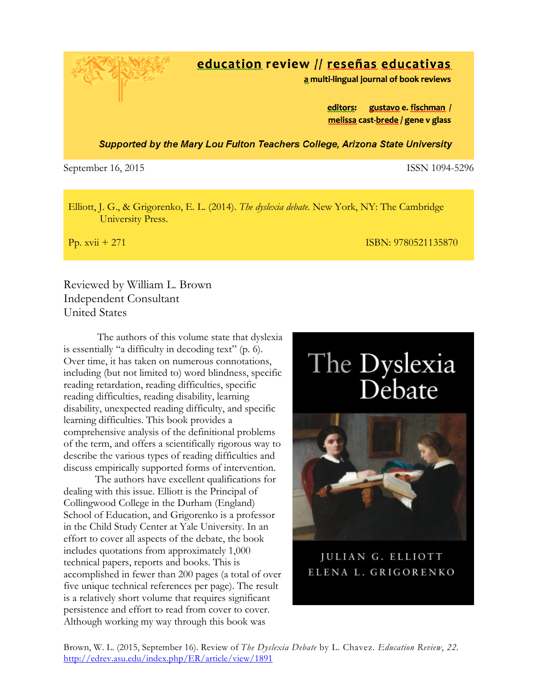Brown, W. L. (2015, September 16). Review of *The Dyslexia Debate* by L. Chavez. *Education Review*, *22.*  http://edrev.asu.edu/index.php/ER/article/view/1891

### education review // reseñas educativas

a multi-lingual journal of book reviews

gustavo e. fischman / editors: melissa cast-brede / gene v glass

Supported by the Mary Lou Fulton Teachers College, Arizona State University

September 16, 2015 **ISSN 1094-5296** 

Elliott, J. G., & Grigorenko, E. L. (2014). *The dyslexia debate*. New York, NY: The Cambridge University Press.

Pp. xvii + 271 ISBN: 9780521135870

Reviewed by William L. Brown Independent Consultant United States

The authors of this volume state that dyslexia is essentially "a difficulty in decoding text" (p. 6). Over time, it has taken on numerous connotations, including (but not limited to) word blindness, specific reading retardation, reading difficulties, specific reading difficulties, reading disability, learning disability, unexpected reading difficulty, and specific learning difficulties. This book provides a comprehensive analysis of the definitional problems of the term, and offers a scientifically rigorous way to describe the various types of reading difficulties and discuss empirically supported forms of intervention.

The authors have excellent qualifications for dealing with this issue. Elliott is the Principal of Collingwood College in the Durham (England) School of Education, and Grigorenko is a professor in the Child Study Center at Yale University. In an effort to cover all aspects of the debate, the book includes quotations from approximately 1,000 technical papers, reports and books. This is accomplished in fewer than 200 pages (a total of over five unique technical references per page). The result is a relatively short volume that requires significant persistence and effort to read from cover to cover. Although working my way through this book was

# The Dyslexia Debate



JULIAN G. ELLIOTT ELENA L. GRIGORENKO

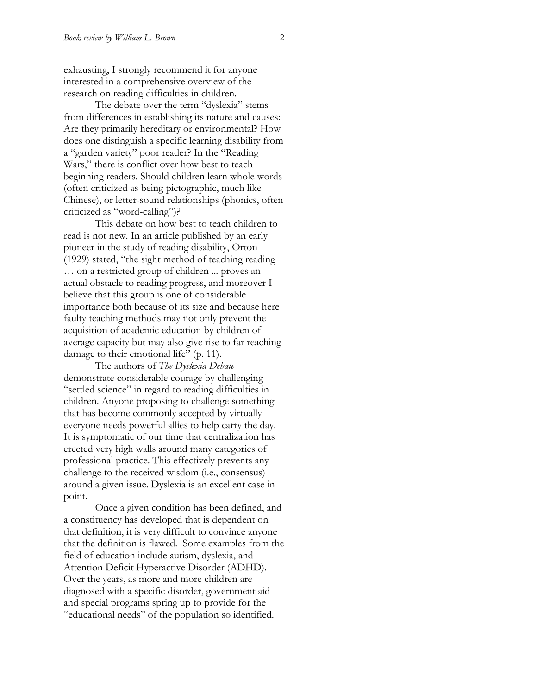exhausting, I strongly recommend it for anyone interested in a comprehensive overview of the research on reading difficulties in children.

The debate over the term "dyslexia" stems from differences in establishing its nature and causes: Are they primarily hereditary or environmental? How does one distinguish a specific learning disability from a "garden variety" poor reader? In the "Reading Wars," there is conflict over how best to teach beginning readers. Should children learn whole words (often criticized as being pictographic, much like Chinese), or letter-sound relationships (phonics, often criticized as "word-calling")?

This debate on how best to teach children to read is not new. In an article published by an early pioneer in the study of reading disability, Orton (1929) stated, "the sight method of teaching reading … on a restricted group of children ... proves an actual obstacle to reading progress, and moreover I believe that this group is one of considerable importance both because of its size and because here faulty teaching methods may not only prevent the acquisition of academic education by children of average capacity but may also give rise to far reaching damage to their emotional life" (p. 11).

The authors of *The Dyslexia Debate* demonstrate considerable courage by challenging "settled science" in regard to reading difficulties in children. Anyone proposing to challenge something that has become commonly accepted by virtually everyone needs powerful allies to help carry the day. It is symptomatic of our time that centralization has erected very high walls around many categories of professional practice. This effectively prevents any challenge to the received wisdom (i.e., consensus) around a given issue. Dyslexia is an excellent case in point.

Once a given condition has been defined, and a constituency has developed that is dependent on that definition, it is very difficult to convince anyone that the definition is flawed. Some examples from the field of education include autism, dyslexia, and Attention Deficit Hyperactive Disorder (ADHD). Over the years, as more and more children are diagnosed with a specific disorder, government aid and special programs spring up to provide for the "educational needs" of the population so identified.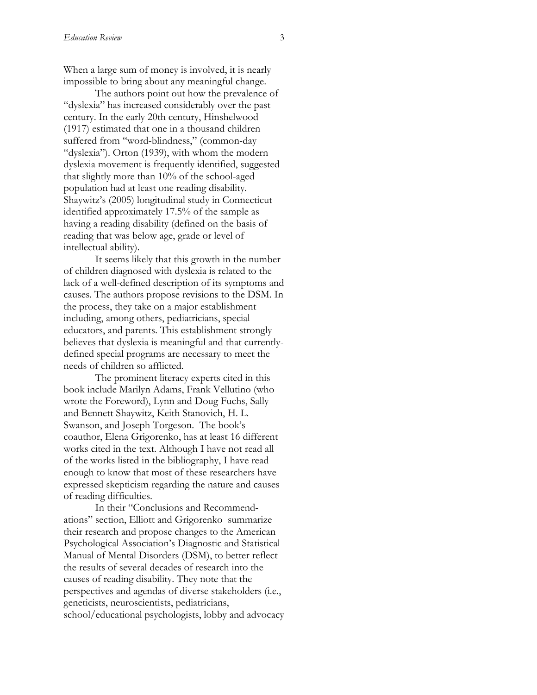When a large sum of money is involved, it is nearly impossible to bring about any meaningful change.

The authors point out how the prevalence of "dyslexia" has increased considerably over the past century. In the early 20th century, Hinshelwood (1917) estimated that one in a thousand children suffered from "word-blindness," (common-day "dyslexia"). Orton (1939), with whom the modern dyslexia movement is frequently identified, suggested that slightly more than 10% of the school-aged population had at least one reading disability. Shaywitz's (2005) longitudinal study in Connecticut identified approximately 17.5% of the sample as having a reading disability (defined on the basis of reading that was below age, grade or level of intellectual ability).

It seems likely that this growth in the number of children diagnosed with dyslexia is related to the lack of a well-defined description of its symptoms and causes. The authors propose revisions to the DSM. In the process, they take on a major establishment including, among others, pediatricians, special educators, and parents. This establishment strongly believes that dyslexia is meaningful and that currentlydefined special programs are necessary to meet the needs of children so afflicted.

The prominent literacy experts cited in this book include Marilyn Adams, Frank Vellutino (who wrote the Foreword), Lynn and Doug Fuchs, Sally and Bennett Shaywitz, Keith Stanovich, H. L. Swanson, and Joseph Torgeson. The book's coauthor, Elena Grigorenko, has at least 16 different works cited in the text. Although I have not read all of the works listed in the bibliography, I have read enough to know that most of these researchers have expressed skepticism regarding the nature and causes of reading difficulties.

In their "Conclusions and Recommendations" section, Elliott and Grigorenko summarize their research and propose changes to the American Psychological Association's Diagnostic and Statistical Manual of Mental Disorders (DSM), to better reflect the results of several decades of research into the causes of reading disability. They note that the perspectives and agendas of diverse stakeholders (i.e., geneticists, neuroscientists, pediatricians, school/educational psychologists, lobby and advocacy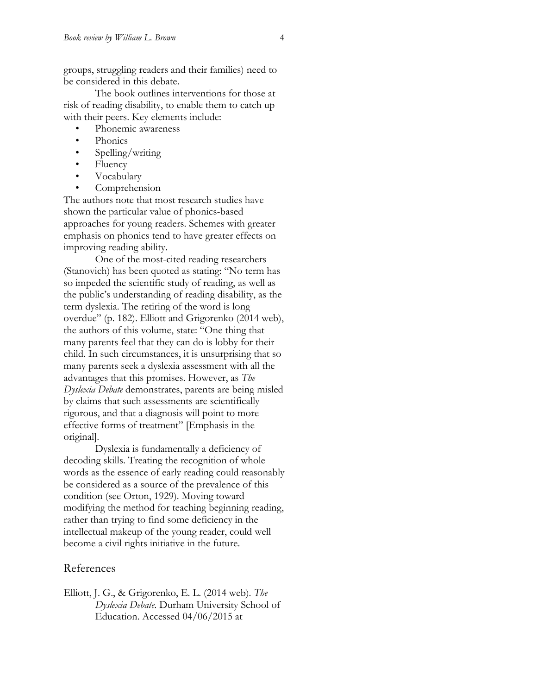groups, struggling readers and their families) need to be considered in this debate.

The book outlines interventions for those at risk of reading disability, to enable them to catch up with their peers. Key elements include:

- Phonemic awareness
- Phonics
- Spelling/writing
- Fluency
- Vocabulary
- Comprehension

The authors note that most research studies have shown the particular value of phonics-based approaches for young readers. Schemes with greater emphasis on phonics tend to have greater effects on improving reading ability.

One of the most-cited reading researchers (Stanovich) has been quoted as stating: "No term has so impeded the scientific study of reading, as well as the public's understanding of reading disability, as the term dyslexia. The retiring of the word is long overdue" (p. 182). Elliott and Grigorenko (2014 web), the authors of this volume, state: "One thing that many parents feel that they can do is lobby for their child. In such circumstances, it is unsurprising that so many parents seek a dyslexia assessment with all the advantages that this promises. However, as *The Dyslexia Debate* demonstrates, parents are being misled by claims that such assessments are scientifically rigorous, and that a diagnosis will point to more effective forms of treatment" [Emphasis in the original].

Dyslexia is fundamentally a deficiency of decoding skills. Treating the recognition of whole words as the essence of early reading could reasonably be considered as a source of the prevalence of this condition (see Orton, 1929). Moving toward modifying the method for teaching beginning reading, rather than trying to find some deficiency in the intellectual makeup of the young reader, could well become a civil rights initiative in the future.

#### References

Elliott, J. G., & Grigorenko, E. L. (2014 web). *The Dyslexia Debate*. Durham University School of Education. Accessed 04/06/2015 at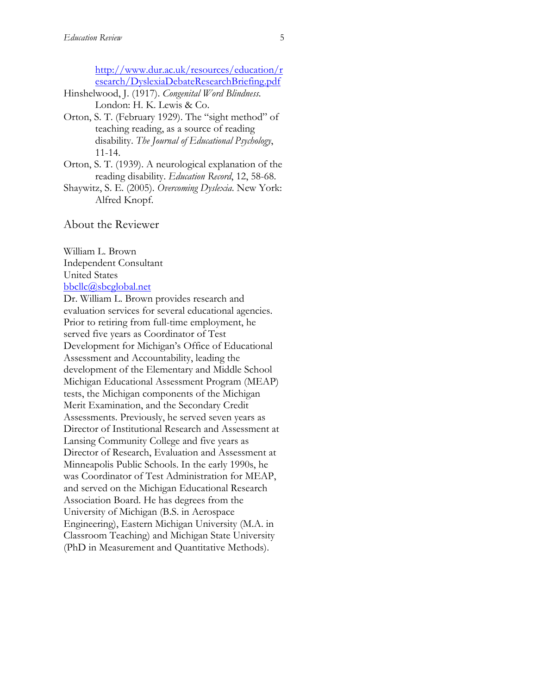http://www.dur.ac.uk/resources/education/r esearch/DyslexiaDebateResearchBriefing.pdf

- Hinshelwood, J. (1917). *Congenital Word Blindness.* London: H. K. Lewis & Co.
- Orton, S. T. (February 1929). The "sight method" of teaching reading, as a source of reading disability. *The Journal of Educational Psychology*, 11-14.
- Orton, S. T. (1939). A neurological explanation of the reading disability. *Education Record*, 12, 58-68.
- Shaywitz, S. E. (2005). *Overcoming Dyslexia*. New York: Alfred Knopf.

About the Reviewer

William L. Brown Independent Consultant United States bbcllc@sbcglobal.net

Dr. William L. Brown provides research and evaluation services for several educational agencies. Prior to retiring from full-time employment, he served five years as Coordinator of Test Development for Michigan's Office of Educational Assessment and Accountability, leading the development of the Elementary and Middle School Michigan Educational Assessment Program (MEAP) tests, the Michigan components of the Michigan Merit Examination, and the Secondary Credit Assessments. Previously, he served seven years as Director of Institutional Research and Assessment at Lansing Community College and five years as Director of Research, Evaluation and Assessment at Minneapolis Public Schools. In the early 1990s, he was Coordinator of Test Administration for MEAP, and served on the Michigan Educational Research Association Board. He has degrees from the University of Michigan (B.S. in Aerospace Engineering), Eastern Michigan University (M.A. in Classroom Teaching) and Michigan State University (PhD in Measurement and Quantitative Methods).